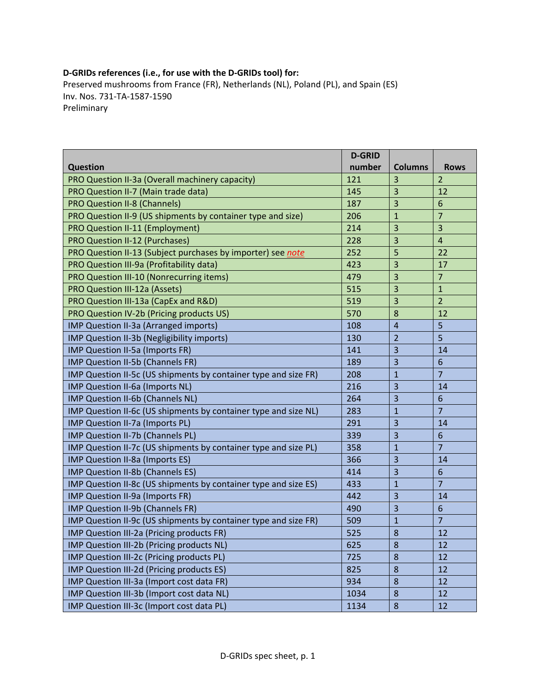## **D‐GRIDs references (i.e., for use with the D‐GRIDs tool) for:**

Preserved mushrooms from France (FR), Netherlands (NL), Poland (PL), and Spain (ES) Inv. Nos. 731‐TA‐1587‐1590 Preliminary

|                                                                 | <b>D-GRID</b> |                |                |
|-----------------------------------------------------------------|---------------|----------------|----------------|
| <b>Question</b>                                                 | number        | <b>Columns</b> | <b>Rows</b>    |
| PRO Question II-3a (Overall machinery capacity)                 | 121           | 3              | $\overline{2}$ |
| PRO Question II-7 (Main trade data)                             | 145           | 3              | 12             |
| <b>PRO Question II-8 (Channels)</b>                             | 187           | 3              | 6              |
| PRO Question II-9 (US shipments by container type and size)     | 206           | $\mathbf{1}$   | $\overline{7}$ |
| <b>PRO Question II-11 (Employment)</b>                          | 214           | 3              | $\overline{3}$ |
| <b>PRO Question II-12 (Purchases)</b>                           | 228           | 3              | $\overline{4}$ |
| PRO Question II-13 (Subject purchases by importer) see note     | 252           | 5              | 22             |
| PRO Question III-9a (Profitability data)                        | 423           | 3              | 17             |
| PRO Question III-10 (Nonrecurring items)                        | 479           | 3              | $\overline{7}$ |
| PRO Question III-12a (Assets)                                   | 515           | 3              | $\mathbf{1}$   |
| PRO Question III-13a (CapEx and R&D)                            | 519           | 3              | $\overline{2}$ |
| PRO Question IV-2b (Pricing products US)                        | 570           | 8              | 12             |
| IMP Question II-3a (Arranged imports)                           | 108           | $\overline{4}$ | 5              |
| IMP Question II-3b (Negligibility imports)                      | 130           | $\overline{2}$ | 5              |
| IMP Question II-5a (Imports FR)                                 | 141           | 3              | 14             |
| IMP Question II-5b (Channels FR)                                | 189           | 3              | 6              |
| IMP Question II-5c (US shipments by container type and size FR) | 208           | $\mathbf{1}$   | $\overline{7}$ |
| IMP Question II-6a (Imports NL)                                 | 216           | 3              | 14             |
| IMP Question II-6b (Channels NL)                                | 264           | 3              | 6              |
| IMP Question II-6c (US shipments by container type and size NL) | 283           | $\mathbf{1}$   | $\overline{7}$ |
| IMP Question II-7a (Imports PL)                                 | 291           | 3              | 14             |
| IMP Question II-7b (Channels PL)                                | 339           | 3              | 6              |
| IMP Question II-7c (US shipments by container type and size PL) | 358           | $\mathbf{1}$   | $\overline{7}$ |
| IMP Question II-8a (Imports ES)                                 | 366           | 3              | 14             |
| IMP Question II-8b (Channels ES)                                | 414           | 3              | 6              |
| IMP Question II-8c (US shipments by container type and size ES) | 433           | $\mathbf{1}$   | $\overline{7}$ |
| IMP Question II-9a (Imports FR)                                 | 442           | 3              | 14             |
| IMP Question II-9b (Channels FR)                                | 490           | 3              | 6              |
| IMP Question II-9c (US shipments by container type and size FR) | 509           | $\mathbf{1}$   | $\overline{7}$ |
| IMP Question III-2a (Pricing products FR)                       | 525           | 8              | 12             |
| IMP Question III-2b (Pricing products NL)                       | 625           | 8              | 12             |
| IMP Question III-2c (Pricing products PL)                       | 725           | 8              | 12             |
| IMP Question III-2d (Pricing products ES)                       | 825           | 8              | 12             |
| IMP Question III-3a (Import cost data FR)                       | 934           | 8              | 12             |
| IMP Question III-3b (Import cost data NL)                       | 1034          | 8              | 12             |
| IMP Question III-3c (Import cost data PL)                       | 1134          | $\bf 8$        | 12             |